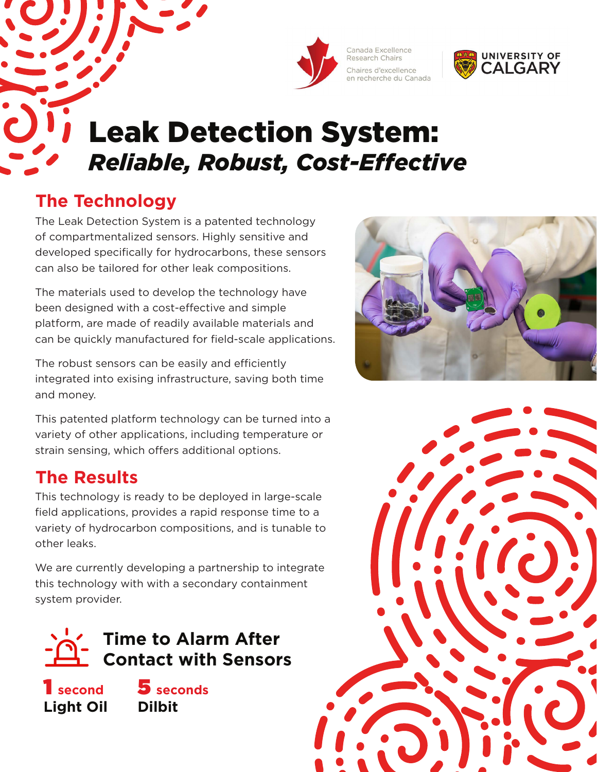



# Leak Detection System: *Reliable, Robust, Cost-Effective*

## **The Technology**

The Leak Detection System is a patented technology of compartmentalized sensors. Highly sensitive and developed specifically for hydrocarbons, these sensors can also be tailored for other leak compositions.

The materials used to develop the technology have been designed with a cost-effective and simple platform, are made of readily available materials and can be quickly manufactured for field-scale applications.

The robust sensors can be easily and efficiently integrated into exising infrastructure, saving both time and money.

This patented platform technology can be turned into a variety of other applications, including temperature or strain sensing, which offers additional options.

### **The Results**

This technology is ready to be deployed in large-scale field applications, provides a rapid response time to a variety of hydrocarbon compositions, and is tunable to other leaks.

We are currently developing a partnership to integrate this technology with with a secondary containment system provider.



1 **second Light Oil**

5 **seconds Dilbit**